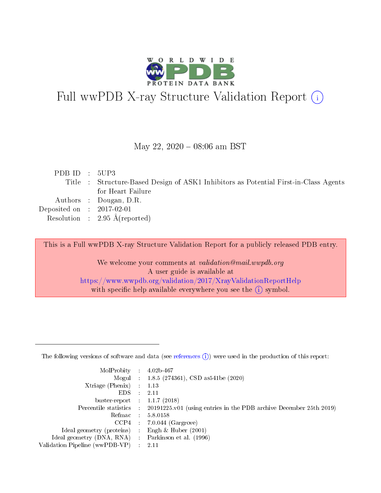

# Full wwPDB X-ray Structure Validation Report (i)

#### May 22,  $2020 - 08:06$  am BST

| PDB ID : $5UP3$             |                                                                                      |
|-----------------------------|--------------------------------------------------------------------------------------|
|                             | Title : Structure-Based Design of ASK1 Inhibitors as Potential First-in-Class Agents |
|                             | for Heart Failure                                                                    |
|                             | Authors : Dougan, D.R.                                                               |
| Deposited on : $2017-02-01$ |                                                                                      |
|                             | Resolution : $2.95 \text{ Å}$ (reported)                                             |
|                             |                                                                                      |

This is a Full wwPDB X-ray Structure Validation Report for a publicly released PDB entry.

We welcome your comments at validation@mail.wwpdb.org A user guide is available at <https://www.wwpdb.org/validation/2017/XrayValidationReportHelp> with specific help available everywhere you see the  $(i)$  symbol.

The following versions of software and data (see [references](https://www.wwpdb.org/validation/2017/XrayValidationReportHelp#references)  $(1)$ ) were used in the production of this report:

| MolProbity                     | $\mathcal{L}_{\rm{max}}$ | $4.02b - 467$                                                                |
|--------------------------------|--------------------------|------------------------------------------------------------------------------|
|                                |                          | Mogul : $1.8.5$ (274361), CSD as 541be (2020)                                |
| $X$ triage (Phenix) :          |                          | 1.13                                                                         |
| EDS.                           |                          | 2.11                                                                         |
| buster-report : $1.1.7$ (2018) |                          |                                                                              |
| Percentile statistics :        |                          | $20191225 \text{ v}01$ (using entries in the PDB archive December 25th 2019) |
| Refmac                         |                          | 5.8.0158                                                                     |
| $CCP4$ :                       |                          | $7.0.044$ (Gargrove)                                                         |
| Ideal geometry (proteins) :    |                          | Engh $\&$ Huber (2001)                                                       |
| Ideal geometry (DNA, RNA) :    |                          | Parkinson et al. (1996)                                                      |
| Validation Pipeline (wwPDB-VP) | $\mathcal{L}$            | -2.11                                                                        |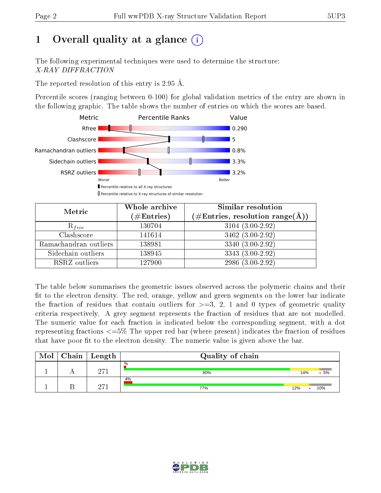## 1 [O](https://www.wwpdb.org/validation/2017/XrayValidationReportHelp#overall_quality)verall quality at a glance  $(i)$

The following experimental techniques were used to determine the structure: X-RAY DIFFRACTION

The reported resolution of this entry is 2.95 Å.

Percentile scores (ranging between 0-100) for global validation metrics of the entry are shown in the following graphic. The table shows the number of entries on which the scores are based.



| Metric                | Whole archive<br>$(\#\text{Entries})$ | Similar resolution<br>$(\#\text{Entries}, \text{resolution range}(\textup{\AA}))$ |  |  |
|-----------------------|---------------------------------------|-----------------------------------------------------------------------------------|--|--|
| $R_{free}$            | 130704                                | $3104(3.00-2.92)$                                                                 |  |  |
| Clashscore            | 141614                                | 3462 (3.00-2.92)                                                                  |  |  |
| Ramachandran outliers | 138981                                | $3340(3.00-2.92)$                                                                 |  |  |
| Sidechain outliers    | 138945                                | 3343 (3.00-2.92)                                                                  |  |  |
| RSRZ outliers         | 127900                                | 2986 (3.00-2.92)                                                                  |  |  |

The table below summarises the geometric issues observed across the polymeric chains and their fit to the electron density. The red, orange, yellow and green segments on the lower bar indicate the fraction of residues that contain outliers for  $>=3, 2, 1$  and 0 types of geometric quality criteria respectively. A grey segment represents the fraction of residues that are not modelled. The numeric value for each fraction is indicated below the corresponding segment, with a dot representing fractions  $\epsilon=5\%$  The upper red bar (where present) indicates the fraction of residues that have poor fit to the electron density. The numeric value is given above the bar.

| Mol | ${\bf Chain \mid Length}$ | Quality of chain |                         |
|-----|---------------------------|------------------|-------------------------|
|     | 971                       | $\%$<br>80%      | $.5\%$<br>14%           |
|     | 071                       | 4%<br>77%        | 12%<br>10%<br>$\bullet$ |

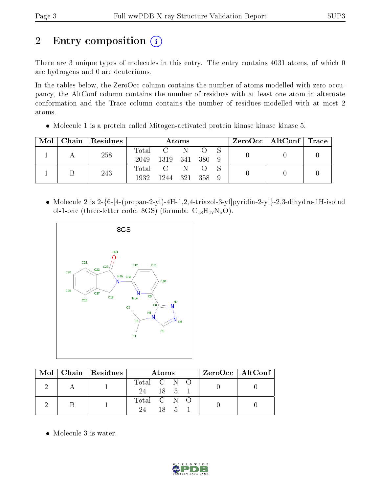# 2 Entry composition (i)

There are 3 unique types of molecules in this entry. The entry contains 4031 atoms, of which 0 are hydrogens and 0 are deuteriums.

In the tables below, the ZeroOcc column contains the number of atoms modelled with zero occupancy, the AltConf column contains the number of residues with at least one atom in alternate conformation and the Trace column contains the number of residues modelled with at most 2 atoms.

• Molecule 1 is a protein called Mitogen-activated protein kinase kinase kinase 5.

| Mol |     | Chain   Residues | Atoms        |              |  |  | $\rm ZeroOcc$   AltConf   Trace |  |  |
|-----|-----|------------------|--------------|--------------|--|--|---------------------------------|--|--|
|     | 258 | $\mathrm{Total}$ |              |              |  |  |                                 |  |  |
|     |     |                  | 2049         | 1319 341 380 |  |  |                                 |  |  |
|     |     | 243              |              | Total C      |  |  |                                 |  |  |
|     |     | 1932             | 1244 321 358 |              |  |  |                                 |  |  |

• Molecule 2 is  $2-\{6-[4-(\text{propan-2-yl})-4H-1,2,4-\text{triazol-3-yl}]\text{pyridin-2-yl}\}-2,3-\text{dihydro-1H-isoind}$ ol-1-one (three-letter code: 8GS) (formula:  $C_{18}H_{17}N_5O$ ).



| $\text{Mol} \parallel$ | Chain   Residues | Atoms       |  |                    |  | $ZeroOcc \mid AltConf$ |  |
|------------------------|------------------|-------------|--|--------------------|--|------------------------|--|
|                        |                  | Total C N O |  |                    |  |                        |  |
|                        |                  | 24 18 5 1   |  |                    |  |                        |  |
|                        |                  | Total C N O |  |                    |  |                        |  |
|                        |                  | 94.         |  | $18 \quad 5 \quad$ |  |                        |  |

• Molecule 3 is water.

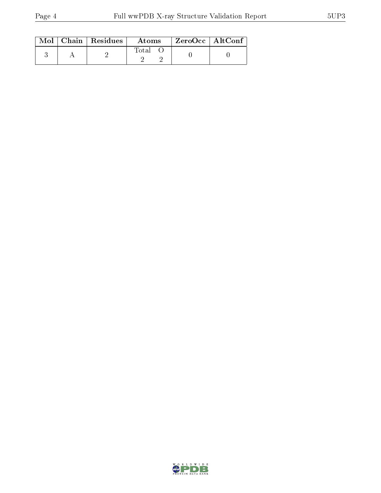|  | $\text{Mol}$   Chain   Residues | Atoms | $\rm ZeroOcc \mid AltConf$ |  |
|--|---------------------------------|-------|----------------------------|--|
|  |                                 | Total |                            |  |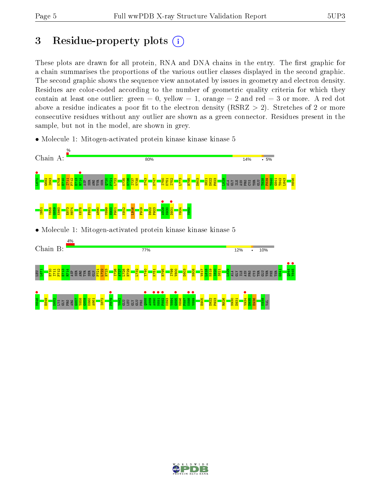## 3 Residue-property plots  $(i)$

These plots are drawn for all protein, RNA and DNA chains in the entry. The first graphic for a chain summarises the proportions of the various outlier classes displayed in the second graphic. The second graphic shows the sequence view annotated by issues in geometry and electron density. Residues are color-coded according to the number of geometric quality criteria for which they contain at least one outlier: green  $= 0$ , yellow  $= 1$ , orange  $= 2$  and red  $= 3$  or more. A red dot above a residue indicates a poor fit to the electron density (RSRZ  $> 2$ ). Stretches of 2 or more consecutive residues without any outlier are shown as a green connector. Residues present in the sample, but not in the model, are shown in grey.

• Molecule 1: Mitogen-activated protein kinase kinase kinase 5



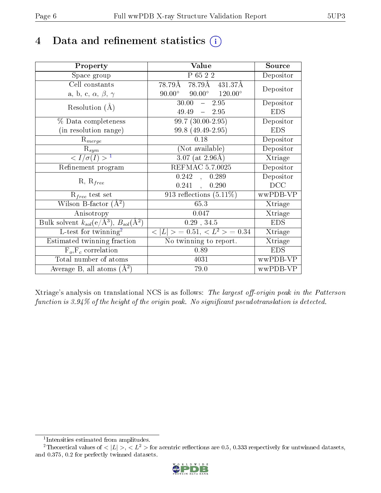## 4 Data and refinement statistics  $(i)$

| Property                                                                | Value                                            | Source     |
|-------------------------------------------------------------------------|--------------------------------------------------|------------|
| Space group                                                             | P 65 2 2                                         | Depositor  |
| Cell constants                                                          | 78.79Å 78.79Å 431.37Å                            |            |
| a, b, c, $\alpha$ , $\beta$ , $\gamma$                                  | $90.00^{\circ}$ $90.00^{\circ}$ $120.00^{\circ}$ | Depositor  |
| Resolution $(A)$                                                        | $30.00 - 2.95$                                   | Depositor  |
|                                                                         | 49.49<br>$-2.95$                                 | <b>EDS</b> |
| % Data completeness                                                     | $99.7(30.00-2.95)$                               | Depositor  |
| (in resolution range)                                                   | 99.8 (49.49-2.95)                                | <b>EDS</b> |
| $R_{merge}$                                                             | 0.18                                             | Depositor  |
| $\mathrm{R}_{sym}$                                                      | (Not available)                                  | Depositor  |
| $\langle I/\sigma(I) \rangle^{-1}$                                      | $3.07$ (at 2.96Å)                                | Xtriage    |
| Refinement program                                                      | <b>REFMAC 5.7.0025</b>                           | Depositor  |
| $R, R_{free}$                                                           | 0.242,<br>0.289                                  | Depositor  |
|                                                                         | 0.241,<br>0.290                                  | DCC        |
| $\mathcal{R}_{free}$ test set                                           | 913 reflections $(5.11\%)$                       | wwPDB-VP   |
| Wilson B-factor $(A^2)$                                                 | 65.3                                             | Xtriage    |
| Anisotropy                                                              | 0.047                                            | Xtriage    |
| Bulk solvent $k_{sol}(\mathrm{e}/\mathrm{A}^3),\,B_{sol}(\mathrm{A}^2)$ | $0.29$ , $34.5$                                  | <b>EDS</b> |
| L-test for twinning <sup>2</sup>                                        | $< L >$ = 0.51, $< L2$ > = 0.34                  | Xtriage    |
| Estimated twinning fraction                                             | No twinning to report.                           | Xtriage    |
| $F_o, F_c$ correlation                                                  | 0.89                                             | <b>EDS</b> |
| Total number of atoms                                                   | 4031                                             | wwPDB-VP   |
| Average B, all atoms $(A^2)$                                            | 79.0                                             | wwPDB-VP   |

Xtriage's analysis on translational NCS is as follows: The largest off-origin peak in the Patterson function is  $3.94\%$  of the height of the origin peak. No significant pseudotranslation is detected.

<sup>&</sup>lt;sup>2</sup>Theoretical values of  $\langle |L| \rangle$ ,  $\langle L^2 \rangle$  for acentric reflections are 0.5, 0.333 respectively for untwinned datasets, and 0.375, 0.2 for perfectly twinned datasets.



<span id="page-5-1"></span><span id="page-5-0"></span><sup>1</sup> Intensities estimated from amplitudes.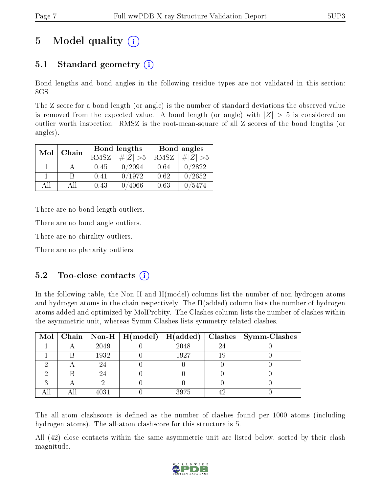## 5 Model quality  $(i)$

### 5.1 Standard geometry  $(i)$

Bond lengths and bond angles in the following residue types are not validated in this section: 8GS

The Z score for a bond length (or angle) is the number of standard deviations the observed value is removed from the expected value. A bond length (or angle) with  $|Z| > 5$  is considered an outlier worth inspection. RMSZ is the root-mean-square of all Z scores of the bond lengths (or angles).

| Mol  | Chain |             | Bond lengths | Bond angles |          |  |
|------|-------|-------------|--------------|-------------|----------|--|
|      |       | <b>RMSZ</b> | $\# Z  > 5$  | RMSZ        | # Z  > 5 |  |
|      |       | 0.45        | 0/2094       | 0.64        | 0/2822   |  |
|      | R     | 0.41        | 0/1972       | 0.62        | 0/2652   |  |
| A 11 | A 11  | 0.43        | 4066         | 0.63        | 3474     |  |

There are no bond length outliers.

There are no bond angle outliers.

There are no chirality outliers.

There are no planarity outliers.

### $5.2$  Too-close contacts  $(i)$

In the following table, the Non-H and H(model) columns list the number of non-hydrogen atoms and hydrogen atoms in the chain respectively. The H(added) column lists the number of hydrogen atoms added and optimized by MolProbity. The Clashes column lists the number of clashes within the asymmetric unit, whereas Symm-Clashes lists symmetry related clashes.

|  |      |      |    | Mol   Chain   Non-H   H(model)   H(added)   Clashes   Symm-Clashes |
|--|------|------|----|--------------------------------------------------------------------|
|  | 2049 | 2048 | 2∠ |                                                                    |
|  | 1932 | 1927 | 19 |                                                                    |
|  | 24   |      |    |                                                                    |
|  | 24   |      |    |                                                                    |
|  |      |      |    |                                                                    |
|  | 4031 | 3975 |    |                                                                    |

The all-atom clashscore is defined as the number of clashes found per 1000 atoms (including hydrogen atoms). The all-atom clashscore for this structure is 5.

All (42) close contacts within the same asymmetric unit are listed below, sorted by their clash magnitude.

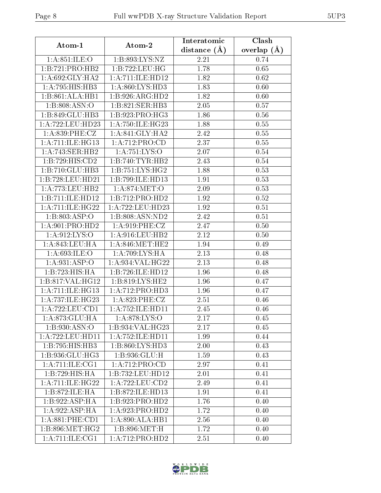| Atom-1                      | Atom-2              | Interatomic    | Clash         |  |  |
|-----------------------------|---------------------|----------------|---------------|--|--|
|                             |                     | distance $(A)$ | overlap $(A)$ |  |  |
| 1: A:851: ILE:O             | 1:B:893:LYS:NZ      | 2.21           | 0.74          |  |  |
| 1:B:721:PRO:HB2             | 1:B:722:LEU:HG      | 1.78           | 0.65          |  |  |
| 1: A:692: GLY:HA2           | 1:A:711:ILE:HD12    | 1.82           | 0.62          |  |  |
| 1:A:795:HIS:HB3             | 1:A:860:LYS:HD3     | 1.83           | 0.60          |  |  |
| 1:B:861:ALA:HB1             | 1:B:926:ARG:HD2     | 1.82           | 0.60          |  |  |
| 1:B:808:ASN:O               | 1:B:821:SER:HB3     | 2.05           | 0.57          |  |  |
| 1:B:849:GLU:HB3             | 1:B:923:PRO:HG3     | 1.86           | 0.56          |  |  |
| 1:A:722:LEU:HD23            | 1: A:750: ILE:HG23  | 1.88           | 0.55          |  |  |
| 1: A:839: PHE: CZ           | 1: A:841: GLY:HA2   | 2.42           | 0.55          |  |  |
| 1:A:711:ILE:HG13            | 1:A:712:PRO:CD      | 2.37           | 0.55          |  |  |
| 1:A:743:SER:HB2             | 1:A:751:LYS:O       | 2.07           | 0.54          |  |  |
| 1:B:729:HIS:CD2             | 1:B:740:TYR:HB2     | 2.43           | 0.54          |  |  |
| 1:B:710:GLU:HB3             | 1: B: 751: LYS: HG2 | 1.88           | 0.53          |  |  |
| 1:B:728:LEU:HD21            | 1:B:799:ILE:HD13    | 1.91           | 0.53          |  |  |
| 1: A:773:LEU:HB2            | 1: A:874:MET:O      | 2.09           | 0.53          |  |  |
| 1:B:711:ILE:HD12            | 1:B:712:PRO:HD2     | 1.92           | 0.52          |  |  |
| 1:A:711:ILE:HG22            | 1:A:722:LEU:HD23    | 1.92           | 0.51          |  |  |
| 1:B:803:ASP:O               | 1:B:808:ASN:ND2     | 2.42           | 0.51          |  |  |
| 1: A:901: PRO:HD2           | 1: A:919: PHE: CZ   | 2.47           | 0.50          |  |  |
| 1: A:912: LYS:O             | 1: A:916:LEU:HB2    | 2.12           | 0.50          |  |  |
| 1: A:843:LEU:HA             | 1: A:846: MET:HE2   | 1.94           | 0.49          |  |  |
| 1: A:693: ILE: O            | 1: A:709: LYS: HA   | 2.13           | 0.48          |  |  |
| 1:A:931:ASP:O               | 1:A:934:VAL:HG22    | 2.13           | 0.48          |  |  |
| 1:B:723:HIS:HA              | 1:B:726:ILE:HD12    | 1.96           | 0.48          |  |  |
| 1:B:817:VAL:HG12            | 1:B:819:LYS:HE2     | 1.96           | 0.47          |  |  |
| 1:A:711:ILE:HG13            | 1:A:712:PRO:HD3     | 1.96           | 0.47          |  |  |
| 1:A:737:ILE:HG23            | 1: A:823: PHE: CZ   | 2.51           | 0.46          |  |  |
| 1: A: 722: LEU: CD1         | 1:A:752:ILE:HD11    | 2.45           | 0.46          |  |  |
| 1:A:873:GLU:HA              | 1:A:878:LYS:O       | 2.17           | 0.45          |  |  |
| 1: B: 930: ASN:O            | 1:B:934:VAL:HG23    | 2.17           | 0.45          |  |  |
| 1:A:722:LEU:HD11            | 1:A:752:ILE:HD11    | 1.99           | 0.44          |  |  |
| 1:B:795:HIS:HB3             | 1: B: 860: LYS: HD3 | 2.00           | 0.43          |  |  |
| 1: B: 936: GLU: HG3         | 1:B:936:GLU:H       | 1.59           | 0.43          |  |  |
| 1:A:711:IE:CG1              | 1:A:712:PRO:CD      | 2.97           | 0.41          |  |  |
| 1:B:729:HIS:HA              | 1:B:732:LEU:HD12    | 2.01           | 0.41          |  |  |
| 1:A:711:ILE:HG22            | 1:A:722:LEU:CD2     | 2.49           | 0.41          |  |  |
| 1: B:872: ILE: HA           | 1:B:872:ILE:HD13    | 1.91           | 0.41          |  |  |
| $1:B:922:\overline{ASP:HA}$ | 1:B:923:PRO:HD2     | 1.76           | 0.40          |  |  |
| 1:A:922:ASP:HA              | 1:A:923:PRO:HD2     | 1.72           | 0.40          |  |  |
| 1: A:881:PHE:CD1            | 1:A:890:ALA:HB1     | 2.56           | 0.40          |  |  |
| 1:B:896:MET:HG2             | 1: B:896:MET:H      | 1.72           | 0.40          |  |  |
| 1: A:711: ILE: CG1          | 1:A:712:PRO:HD2     | 2.51           | 0.40          |  |  |

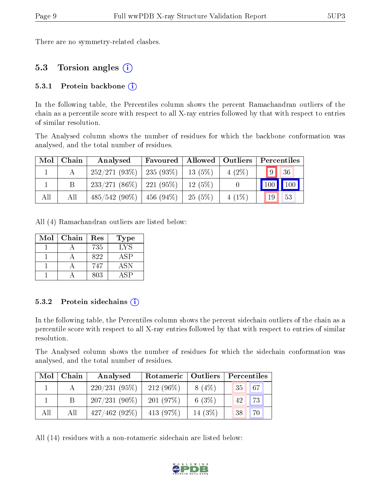There are no symmetry-related clashes.

#### 5.3 Torsion angles (i)

#### 5.3.1 Protein backbone  $(i)$

In the following table, the Percentiles column shows the percent Ramachandran outliers of the chain as a percentile score with respect to all X-ray entries followed by that with respect to entries of similar resolution.

The Analysed column shows the number of residues for which the backbone conformation was analysed, and the total number of residues.

| Mol | Chain | Analysed                                | Favoured |           | Allowed   Outliers | $\parallel$ Percentiles |    |
|-----|-------|-----------------------------------------|----------|-----------|--------------------|-------------------------|----|
|     |       | $252/271(93\%)$   235 (93\%)   13 (5\%) |          |           | $4(2\%)$           | $\overline{9}$          | 36 |
|     |       | $233/271(86\%)$   221 (95\%)            |          | $12(5\%)$ |                    | 100 100                 |    |
| All | All   | $485/542$ (90\%)   456 (94\%)           |          | $-25(5%)$ | $4(1\%)$           | <sup>19</sup>           | 53 |

All (4) Ramachandran outliers are listed below:

| Mol | Chain | Res | <b>Type</b> |
|-----|-------|-----|-------------|
|     |       | 735 | LYS         |
|     |       | 822 | ASP         |
|     |       | 747 | ASN         |
|     |       | 803 |             |

#### 5.3.2 Protein sidechains  $(i)$

In the following table, the Percentiles column shows the percent sidechain outliers of the chain as a percentile score with respect to all X-ray entries followed by that with respect to entries of similar resolution.

The Analysed column shows the number of residues for which the sidechain conformation was analysed, and the total number of residues.

| Mol | Chain | Analysed        | Rotameric   Outliers |           | Percentiles                    |  |  |
|-----|-------|-----------------|----------------------|-----------|--------------------------------|--|--|
|     |       | 220/231(95%)    | $212(96\%)$          | $8(4\%)$  | $\sqrt{67}$<br>35 <sup>1</sup> |  |  |
|     |       | $207/231(90\%)$ | 201(97%)             | 6 $(3\%)$ | 73<br>42                       |  |  |
| All | All   | $427/462(92\%)$ | 413 $(97%)$          | 14 $(3%)$ | 70<br>38                       |  |  |

All (14) residues with a non-rotameric sidechain are listed below:

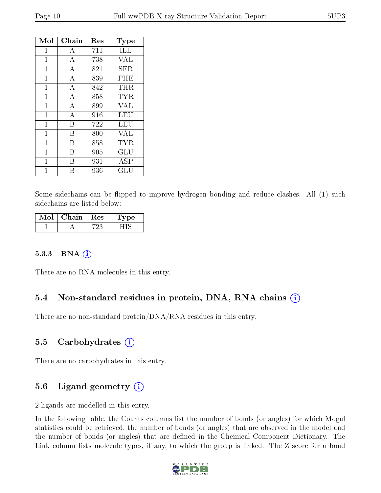| Mol          | ${\rm Chain}$  | Res | $_{\rm Type}$        |
|--------------|----------------|-----|----------------------|
| 1            | А              | 711 | ILE                  |
| $\mathbf{1}$ | А              | 738 | VAL                  |
| $\mathbf 1$  | $\overline{A}$ | 821 | ${\rm SER}$          |
| $\mathbf 1$  | А              | 839 | PHE                  |
| $\mathbf 1$  | А              | 842 | THR                  |
| 1            | А              | 858 | <b>TYR</b>           |
| 1            | $\overline{A}$ | 899 | <b>VAL</b>           |
| 1            | $\overline{A}$ | 916 | LEU                  |
| $\mathbf{1}$ | B              | 722 | LEU                  |
| 1            | В              | 800 | <b>VAL</b>           |
| 1            | В              | 858 | <b>TYR</b>           |
| 1            | В              | 905 | GLU                  |
| 1            | R              | 931 | ASP                  |
| 1            | В              | 936 | $\operatorname{GLU}$ |

Some sidechains can be flipped to improve hydrogen bonding and reduce clashes. All (1) such sidechains are listed below:

| Mol | Chain. | $\overline{\phantom{a}}$ Res $\overline{\phantom{a}}$ | 'oe |
|-----|--------|-------------------------------------------------------|-----|
|     |        | .,                                                    |     |

#### 5.3.3 RNA [O](https://www.wwpdb.org/validation/2017/XrayValidationReportHelp#rna)i

There are no RNA molecules in this entry.

#### 5.4 Non-standard residues in protein, DNA, RNA chains (i)

There are no non-standard protein/DNA/RNA residues in this entry.

#### 5.5 Carbohydrates (i)

There are no carbohydrates in this entry.

### 5.6 Ligand geometry (i)

2 ligands are modelled in this entry.

In the following table, the Counts columns list the number of bonds (or angles) for which Mogul statistics could be retrieved, the number of bonds (or angles) that are observed in the model and the number of bonds (or angles) that are defined in the Chemical Component Dictionary. The Link column lists molecule types, if any, to which the group is linked. The Z score for a bond

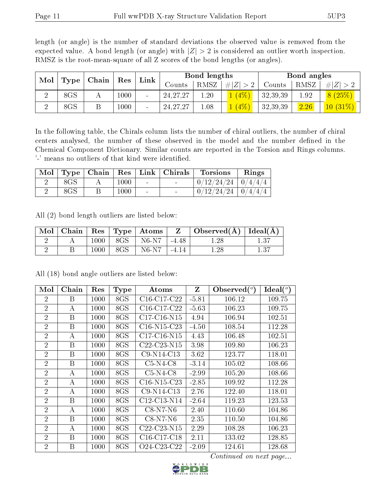|                                        | Tenton to the Tool mean equate of an h secret of the some femalent (or angles). |             |              |                          |            |                   |             |          |      |             |
|----------------------------------------|---------------------------------------------------------------------------------|-------------|--------------|--------------------------|------------|-------------------|-------------|----------|------|-------------|
| Mol<br>$\mid$ Type $\mid$ Chain $\mid$ |                                                                                 | $\vert$ Res | ${\rm Link}$ | Bond lengths             |            |                   | Bond angles |          |      |             |
|                                        |                                                                                 |             |              |                          | Counts     | <sup>'</sup> RMSZ | # $ Z  > 2$ | Counts   | RMSZ | # $ Z  > 2$ |
| $\overline{2}$                         | 8GS                                                                             |             | 1000         | $\blacksquare$           | 24, 27, 27 | 1.20              | $1(4\%)$    | 32,39,39 | 1.92 | 8(25%)      |
| റ                                      | 8GS                                                                             | B           | 1000         | $\overline{\phantom{a}}$ | 24, 27, 27 | 1.08              | $(4\%)$     | 32,39,39 | 2.26 | $10(31\%)$  |

length (or angle) is the number of standard deviations the observed value is removed from the expected value. A bond length (or angle) with  $|Z| > 2$  is considered an outlier worth inspection. RMSZ is the root-mean-square of all Z scores of the bond lengths (or angles).

In the following table, the Chirals column lists the number of chiral outliers, the number of chiral centers analysed, the number of these observed in the model and the number defined in the Chemical Component Dictionary. Similar counts are reported in the Torsion and Rings columns. '-' means no outliers of that kind were identified.

|     |      |        | Mol   Type   Chain   Res   Link   Chirals | Torsions                 | Rings |
|-----|------|--------|-------------------------------------------|--------------------------|-------|
| 8GS | 1000 | $\sim$ |                                           | $0/12/24/24$   $0/4/4/4$ |       |
| 8GS | 1000 | $\sim$ |                                           | $0/12/24/24$   $0/4/4/4$ |       |

All (2) bond length outliers are listed below:

| $\vert$ Mol $\vert$ |      | $\vert$ Chain $\vert$ Res $\vert$ Type $\vert$ Atoms $\vert$ | $\mathbf{Z}$ | $\Box$ Observed( $\AA$ ) $\Box$ Ideal( $\AA$ ) $\Box$ |      |
|---------------------|------|--------------------------------------------------------------|--------------|-------------------------------------------------------|------|
|                     | 1000 | $^{\mathrm{+}}$ 8GS $\mathrm{+}$ N6-N7 $\mathrm{+}$          | $-4.48$      | 1.28                                                  | 1.37 |
|                     | 1000 | 8GS   N6-N7                                                  | $1 - 4.14$   | 1.28                                                  | 1.37 |

| Mol            | Chain | Res  | <b>Type</b> | Atoms                                             | Z       | Observed $(°)$ | $Ideal(^o)$ |
|----------------|-------|------|-------------|---------------------------------------------------|---------|----------------|-------------|
| $\overline{2}$ | B     | 1000 | 8GS         | C <sub>16</sub> -C <sub>17</sub> -C <sub>22</sub> | $-5.81$ | 106.12         | 109.75      |
| $\overline{2}$ | A     | 1000 | 8GS         | $C16-C17-C22$                                     | $-5.63$ | 106.23         | 109.75      |
| $\overline{2}$ | B     | 1000 | 8GS         | C17-C16-N15                                       | 4.94    | 106.94         | 102.51      |
| $\overline{2}$ | B     | 1000 | 8GS         | $C16-N15-C23$                                     | $-4.50$ | 108.54         | 112.28      |
| $\overline{2}$ | А     | 1000 | 8GS         | $C17-C16-N15$                                     | 4.43    | 106.48         | 102.51      |
| $\overline{2}$ | B     | 1000 | 8GS         | C22-C23-N15                                       | 3.98    | 109.80         | 106.23      |
| $\overline{2}$ | B     | 1000 | 8GS         | C9-N14-C13                                        | 3.62    | 123.77         | 118.01      |
| $\overline{2}$ | B     | 1000 | 8GS         | $C5-N4-C8$                                        | $-3.14$ | 105.02         | 108.66      |
| $\overline{2}$ | А     | 1000 | 8GS         | $C5-N4-C8$                                        | $-2.99$ | 105.20         | 108.66      |
| $\overline{2}$ | А     | 1000 | 8GS         | $C16-N15-C23$                                     | $-2.85$ | 109.92         | 112.28      |
| $\overline{2}$ | А     | 1000 | 8GS         | $C9-N14-C13$                                      | 2.76    | 122.40         | 118.01      |
| $\overline{2}$ | B     | 1000 | 8GS         | C12-C13-N14                                       | $-2.64$ | 119.23         | 123.53      |
| $\overline{2}$ | А     | 1000 | 8GS         | $C8-N7-N6$                                        | 2.40    | 110.60         | 104.86      |
| $\overline{2}$ | B     | 1000 | 8GS         | $C8-N7-N6$                                        | 2.35    | 110.50         | 104.86      |
| $\overline{2}$ | А     | 1000 | 8GS         | $C22-C23-N15$                                     | 2.29    | 108.28         | 106.23      |
| $\overline{2}$ | B     | 1000 | 8GS         | $C16-C17-C18$                                     | 2.11    | 133.02         | 128.85      |
| $\overline{2}$ | B     | 1000 | 8GS         | O24-C23-C22                                       | $-2.09$ | 124.61         | 128.68      |

All (18) bond angle outliers are listed below:

Continued on next page...

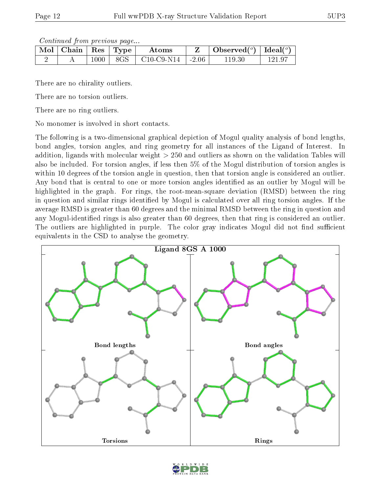Continued from previous page...

| $\parallel$ Mol $\parallel$ Chain $\parallel$ Res $\parallel$ Type $\parallel$ |      |     | Atoms                          | Observed( $^o$ )   Ideal( $^o$ ) |  |
|--------------------------------------------------------------------------------|------|-----|--------------------------------|----------------------------------|--|
|                                                                                | 1000 | 8GS | $\mid$ C10-C9-N14 $\mid$ -2.06 | 19.30                            |  |

There are no chirality outliers.

There are no torsion outliers.

There are no ring outliers.

No monomer is involved in short contacts.

The following is a two-dimensional graphical depiction of Mogul quality analysis of bond lengths, bond angles, torsion angles, and ring geometry for all instances of the Ligand of Interest. In addition, ligands with molecular weight > 250 and outliers as shown on the validation Tables will also be included. For torsion angles, if less then 5% of the Mogul distribution of torsion angles is within 10 degrees of the torsion angle in question, then that torsion angle is considered an outlier. Any bond that is central to one or more torsion angles identified as an outlier by Mogul will be highlighted in the graph. For rings, the root-mean-square deviation (RMSD) between the ring in question and similar rings identified by Mogul is calculated over all ring torsion angles. If the average RMSD is greater than 60 degrees and the minimal RMSD between the ring in question and any Mogul-identied rings is also greater than 60 degrees, then that ring is considered an outlier. The outliers are highlighted in purple. The color gray indicates Mogul did not find sufficient equivalents in the CSD to analyse the geometry.



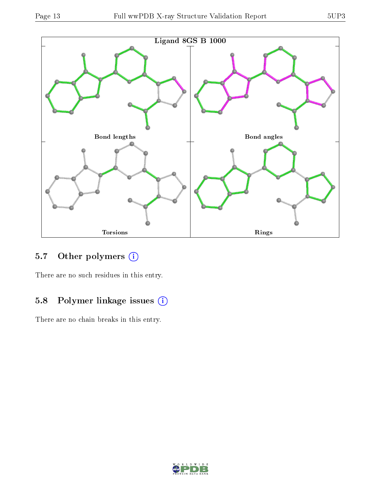

## 5.7 [O](https://www.wwpdb.org/validation/2017/XrayValidationReportHelp#nonstandard_residues_and_ligands)ther polymers (i)

There are no such residues in this entry.

## 5.8 Polymer linkage issues (i)

There are no chain breaks in this entry.

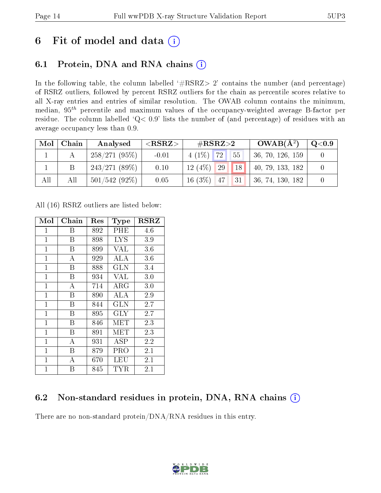## 6 Fit of model and data  $(i)$

### 6.1 Protein, DNA and RNA chains  $(i)$

In the following table, the column labelled  $#RSRZ> 2'$  contains the number (and percentage) of RSRZ outliers, followed by percent RSRZ outliers for the chain as percentile scores relative to all X-ray entries and entries of similar resolution. The OWAB column contains the minimum, median,  $95<sup>th</sup>$  percentile and maximum values of the occupancy-weighted average B-factor per residue. The column labelled ' $Q< 0.9$ ' lists the number of (and percentage) of residues with an average occupancy less than 0.9.

| Mol | Chain | Analysed        | $<$ RSRZ $>$ | $\#\text{RSRZ}\text{>2}$        | $OWAB(A^2)$      | $\mathrm{Q}{<}0.9$ |
|-----|-------|-----------------|--------------|---------------------------------|------------------|--------------------|
|     |       | 258/271(95%)    | $-0.01$      | 72 <br>$55^{\circ}$<br>$4(1\%)$ | 36, 70, 126, 159 |                    |
|     |       | 243/271(89%)    | 0.10         | $12(4\%)$<br>29<br>18           | 40, 79, 133, 182 |                    |
| All | All   | $501/542(92\%)$ | 0.05         | $16(3\%)$ 47<br>31              | 36, 74, 130, 182 |                    |

All (16) RSRZ outliers are listed below:

| Mol          | Chain          | $\operatorname{Res}% \left( \mathcal{N}\right) \equiv\operatorname{Res}(\mathcal{N}_{0},\mathcal{N}_{0})$ | Type                 | $_{\rm RSRZ}$ |
|--------------|----------------|-----------------------------------------------------------------------------------------------------------|----------------------|---------------|
| $\mathbf{1}$ | Β              | 892                                                                                                       | PHE                  | $4.6\,$       |
| $\mathbf{1}$ | Β              | 898                                                                                                       | <b>LYS</b>           | 3.9           |
| $\mathbf{1}$ | Β              | 899                                                                                                       | VAL                  | 3.6           |
| $\mathbf 1$  | А              | 929                                                                                                       | ALA                  | $3.6\,$       |
| $\mathbf{1}$ | B              | 888                                                                                                       | <b>GLN</b>           | 3.4           |
| $\mathbf{1}$ | B              | 934                                                                                                       | VAL                  | 3.0           |
| $\mathbf{1}$ | А              | 714                                                                                                       | ${\rm ARG}$          | 3.0           |
| $\mathbf{1}$ | Β              | 890                                                                                                       | ALA                  | 2.9           |
| $\mathbf 1$  | Β              | 844                                                                                                       | GLN                  | 2.7           |
| $\mathbf{1}$ | B              | 895                                                                                                       | <b>GLY</b>           | 2.7           |
| $\mathbf{1}$ | B              | 846                                                                                                       | MET                  | 2.3           |
| $\mathbf 1$  | Β              | 891                                                                                                       | $\operatorname{MET}$ | 2.3           |
| $\mathbf{1}$ | А              | 931                                                                                                       | ASP                  | $2.2\,$       |
| $\mathbf 1$  | Β              | 879                                                                                                       | PRO                  | 2.1           |
| $\mathbf{1}$ | $\overline{A}$ | 670                                                                                                       | LEU                  | 2.1           |
| $\mathbf{1}$ | B              | 845                                                                                                       | TYR                  | 2.1           |

### 6.2 Non-standard residues in protein, DNA, RNA chains  $(i)$

There are no non-standard protein/DNA/RNA residues in this entry.

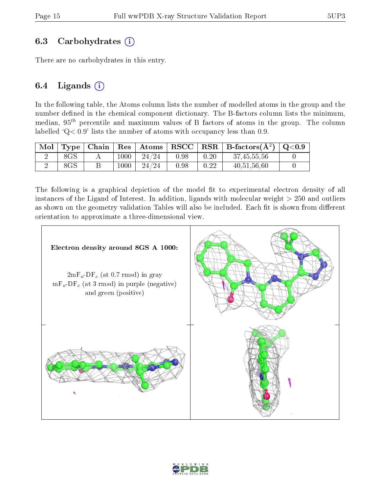#### 6.3 Carbohydrates  $(i)$

There are no carbohydrates in this entry.

#### 6.4 Ligands  $(i)$

In the following table, the Atoms column lists the number of modelled atoms in the group and the number defined in the chemical component dictionary. The B-factors column lists the minimum, median,  $95<sup>th</sup>$  percentile and maximum values of B factors of atoms in the group. The column labelled  $Q < 0.9$ ' lists the number of atoms with occupancy less than 0.9.

| Mol |     |      | Type   Chain   Res   Atoms |      |      | $\mid \text{RSCC} \mid \text{RSR} \mid \text{B-factors}(\text{A}^2) \mid \text{Q}<0.9$ |  |
|-----|-----|------|----------------------------|------|------|----------------------------------------------------------------------------------------|--|
|     | 8GS | 1000 | 24/24                      | 0.98 | 0.20 | 37, 45, 55, 56                                                                         |  |
|     | 8GS | 1000 | 24/24                      | 0.98 | 0.22 | 40, 51, 56, 60                                                                         |  |

The following is a graphical depiction of the model fit to experimental electron density of all instances of the Ligand of Interest. In addition, ligands with molecular weight  $> 250$  and outliers as shown on the geometry validation Tables will also be included. Each fit is shown from different orientation to approximate a three-dimensional view.